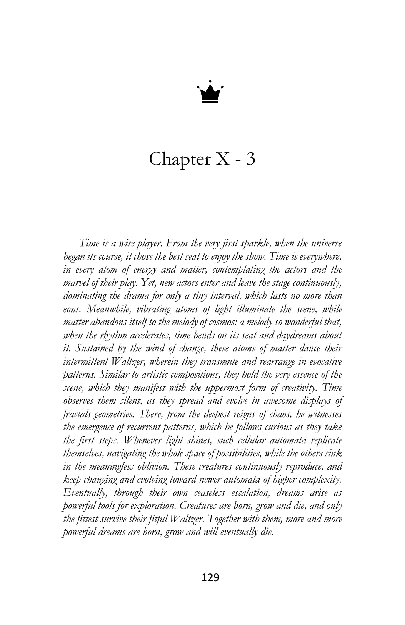

## Chapter X - 3

*Time is a wise player. From the very first sparkle, when the universe began its course, it chose the best seat to enjoy the show. Time is everywhere, in every atom of energy and matter, contemplating the actors and the marvel of their play. Yet, new actors enter and leave the stage continuously, dominating the drama for only a tiny interval, which lasts no more than eons. Meanwhile, vibrating atoms of light illuminate the scene, while matter abandons itself to the melody of cosmos: a melody so wonderful that, when the rhythm accelerates, time bends on its seat and daydreams about it. Sustained by the wind of change, these atoms of matter dance their intermittent Waltzer, wherein they transmute and rearrange in evocative patterns. Similar to artistic compositions, they hold the very essence of the scene, which they manifest with the uppermost form of creativity. Time observes them silent, as they spread and evolve in awesome displays of fractals geometries. There, from the deepest reigns of chaos, he witnesses the emergence of recurrent patterns, which he follows curious as they take the first steps. Whenever light shines, such cellular automata replicate themselves, navigating the whole space of possibilities, while the others sink in the meaningless oblivion. These creatures continuously reproduce, and keep changing and evolving toward newer automata of higher complexity. Eventually, through their own ceaseless escalation, dreams arise as powerful tools for exploration. Creatures are born, grow and die, and only the fittest survive their fitful Waltzer. Together with them, more and more powerful dreams are born, grow and will eventually die.*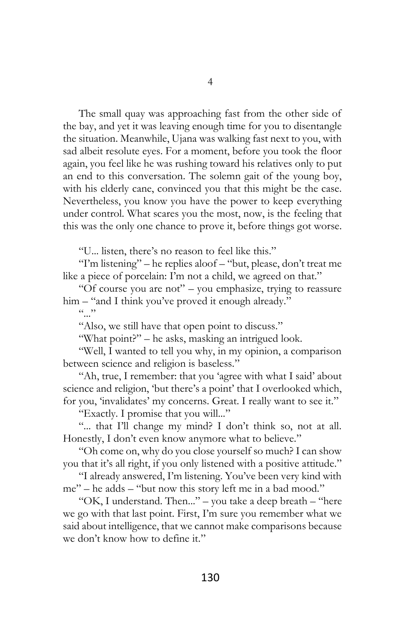The small quay was approaching fast from the other side of the bay, and yet it was leaving enough time for you to disentangle the situation. Meanwhile, Ujana was walking fast next to you, with sad albeit resolute eyes. For a moment, before you took the floor again, you feel like he was rushing toward his relatives only to put an end to this conversation. The solemn gait of the young boy, with his elderly cane, convinced you that this might be the case. Nevertheless, you know you have the power to keep everything under control. What scares you the most, now, is the feeling that this was the only one chance to prove it, before things got worse.

"U... listen, there's no reason to feel like this."

"I'm listening" – he replies aloof – "but, please, don't treat me like a piece of porcelain: I'm not a child, we agreed on that."

"Of course you are not" – you emphasize, trying to reassure him – "and I think you've proved it enough already."

 $(0, 0)$ 

"Also, we still have that open point to discuss."

"What point?" – he asks, masking an intrigued look.

"Well, I wanted to tell you why, in my opinion, a comparison between science and religion is baseless."

"Ah, true, I remember: that you 'agree with what I said' about science and religion, 'but there's a point' that I overlooked which, for you, 'invalidates' my concerns. Great. I really want to see it."

"Exactly. I promise that you will..."

"... that I'll change my mind? I don't think so, not at all. Honestly, I don't even know anymore what to believe."

"Oh come on, why do you close yourself so much? I can show you that it's all right, if you only listened with a positive attitude."

"I already answered, I'm listening. You've been very kind with me" – he adds – "but now this story left me in a bad mood."

"OK, I understand. Then..." – you take a deep breath – "here we go with that last point. First, I'm sure you remember what we said about intelligence, that we cannot make comparisons because we don't know how to define it."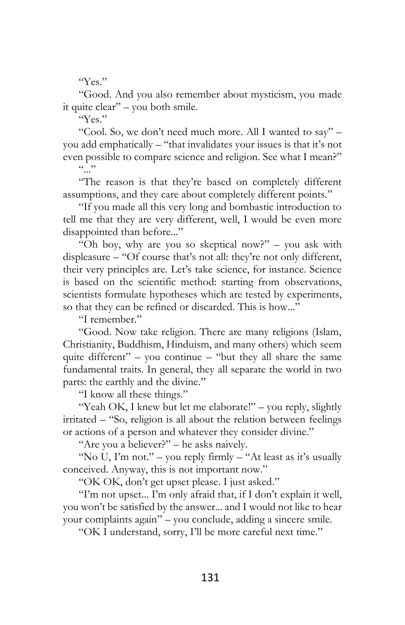$K_{PS}$ "

"Good. And you also remember about mysticism, you made it quite clear" – you both smile.

"Yes."

"Cool. So, we don't need much more. All I wanted to say" – you add emphatically – "that invalidates your issues is that it's not even possible to compare science and religion. See what I mean?"  $\overline{\cdots}$ 

"The reason is that they're based on completely different assumptions, and they care about completely different points."

"If you made all this very long and bombastic introduction to tell me that they are very different, well, I would be even more disappointed than before..."

"Oh boy, why are you so skeptical now?" – you ask with displeasure – "Of course that's not all: they're not only different, their very principles are. Let's take science, for instance. Science is based on the scientific method: starting from observations, scientists formulate hypotheses which are tested by experiments, so that they can be refined or discarded. This is how..."

"I remember"

"Good. Now take religion. There are many religions (Islam, Christianity, Buddhism, Hinduism, and many others) which seem quite different" – you continue – "but they all share the same fundamental traits. In general, they all separate the world in two parts: the earthly and the divine."

"I know all these things."

"Yeah OK, I knew but let me elaborate!" – you reply, slightly irritated – "So, religion is all about the relation between feelings or actions of a person and whatever they consider divine."

"Are you a believer?" – he asks naively.

"No U, I'm not." – you reply firmly – "At least as it's usually conceived. Anyway, this is not important now."

"OK OK, don't get upset please. I just asked."

"I'm not upset... I'm only afraid that, if I don't explain it well, you won't be satisfied by the answer... and I would not like to hear your complaints again" – you conclude, adding a sincere smile.

"OK I understand, sorry, I'll be more careful next time."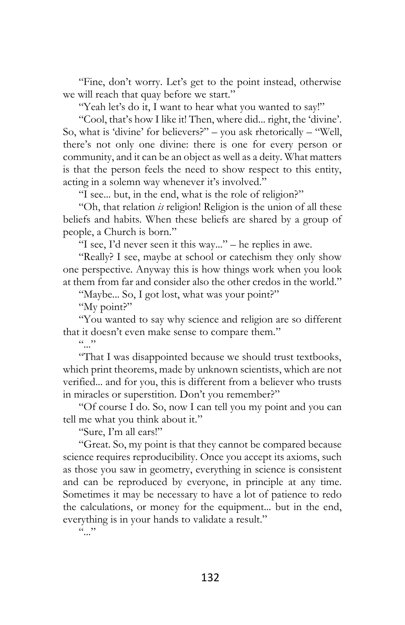"Fine, don't worry. Let's get to the point instead, otherwise we will reach that quay before we start."

"Yeah let's do it, I want to hear what you wanted to say!"

"Cool, that's how I like it! Then, where did... right, the 'divine'. So, what is 'divine' for believers?" – you ask rhetorically – "Well, there's not only one divine: there is one for every person or community, and it can be an object as well as a deity. What matters is that the person feels the need to show respect to this entity, acting in a solemn way whenever it's involved."

"I see... but, in the end, what is the role of religion?"

"Oh, that relation *is* religion! Religion is the union of all these beliefs and habits. When these beliefs are shared by a group of people, a Church is born."

"I see, I'd never seen it this way..." – he replies in awe.

"Really? I see, maybe at school or catechism they only show one perspective. Anyway this is how things work when you look at them from far and consider also the other credos in the world."

"Maybe... So, I got lost, what was your point?"

"My point?"

"You wanted to say why science and religion are so different that it doesn't even make sense to compare them."

 $(0, 0)$ 

"That I was disappointed because we should trust textbooks, which print theorems, made by unknown scientists, which are not verified... and for you, this is different from a believer who trusts in miracles or superstition. Don't you remember?"

"Of course I do. So, now I can tell you my point and you can tell me what you think about it."

"Sure, I'm all ears!"

"Great. So, my point is that they cannot be compared because science requires reproducibility. Once you accept its axioms, such as those you saw in geometry, everything in science is consistent and can be reproduced by everyone, in principle at any time. Sometimes it may be necessary to have a lot of patience to redo the calculations, or money for the equipment... but in the end, everything is in your hands to validate a result."

 $\vdots$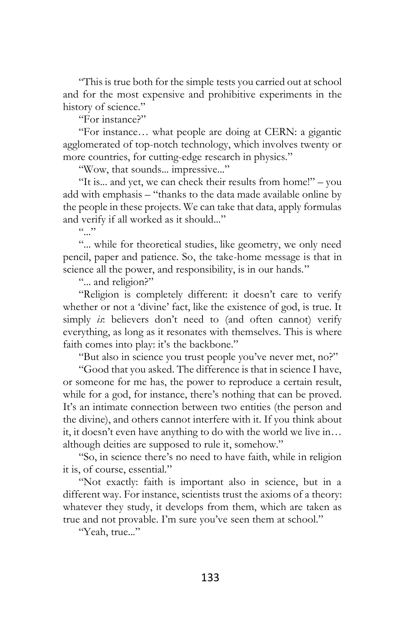"This is true both for the simple tests you carried out at school and for the most expensive and prohibitive experiments in the history of science."

"For instance?"

"For instance… what people are doing at CERN: a gigantic agglomerated of top-notch technology, which involves twenty or more countries, for cutting-edge research in physics."

"Wow, that sounds... impressive..."

"It is... and yet, we can check their results from home!" – you add with emphasis – "thanks to the data made available online by the people in these projects. We can take that data, apply formulas and verify if all worked as it should..."

 $(0, 0)$ 

"... while for theoretical studies, like geometry, we only need pencil, paper and patience. So, the take-home message is that in science all the power, and responsibility, is in our hands."

"... and religion?"

"Religion is completely different: it doesn't care to verify whether or not a 'divine' fact, like the existence of god, is true. It simply *is*: believers don't need to (and often cannot) verify everything, as long as it resonates with themselves. This is where faith comes into play: it's the backbone."

"But also in science you trust people you've never met, no?"

"Good that you asked. The difference is that in science I have, or someone for me has, the power to reproduce a certain result, while for a god, for instance, there's nothing that can be proved. It's an intimate connection between two entities (the person and the divine), and others cannot interfere with it. If you think about it, it doesn't even have anything to do with the world we live in… although deities are supposed to rule it, somehow."

"So, in science there's no need to have faith, while in religion it is, of course, essential."

"Not exactly: faith is important also in science, but in a different way. For instance, scientists trust the axioms of a theory: whatever they study, it develops from them, which are taken as true and not provable. I'm sure you've seen them at school."

"Yeah, true..."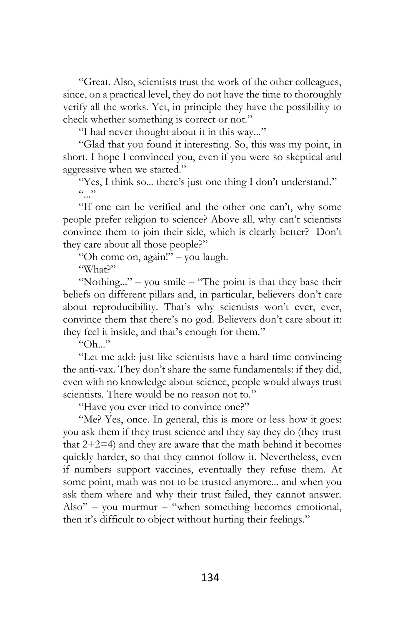"Great. Also, scientists trust the work of the other colleagues, since, on a practical level, they do not have the time to thoroughly verify all the works. Yet, in principle they have the possibility to check whether something is correct or not."

"I had never thought about it in this way..."

"Glad that you found it interesting. So, this was my point, in short. I hope I convinced you, even if you were so skeptical and aggressive when we started."

"Yes, I think so... there's just one thing I don't understand."  $(0, 0)$ 

"If one can be verified and the other one can't, why some people prefer religion to science? Above all, why can't scientists convince them to join their side, which is clearly better? Don't they care about all those people?"

"Oh come on, again!" – you laugh. "What?"

"Nothing..." – you smile – "The point is that they base their beliefs on different pillars and, in particular, believers don't care about reproducibility. That's why scientists won't ever, ever, convince them that there's no god. Believers don't care about it: they feel it inside, and that's enough for them."

" $Oh$ "

"Let me add: just like scientists have a hard time convincing the anti-vax. They don't share the same fundamentals: if they did, even with no knowledge about science, people would always trust scientists. There would be no reason not to."

"Have you ever tried to convince one?"

"Me? Yes, once. In general, this is more or less how it goes: you ask them if they trust science and they say they do (they trust that  $2+2=4$ ) and they are aware that the math behind it becomes quickly harder, so that they cannot follow it. Nevertheless, even if numbers support vaccines, eventually they refuse them. At some point, math was not to be trusted anymore... and when you ask them where and why their trust failed, they cannot answer. Also" – you murmur – "when something becomes emotional, then it's difficult to object without hurting their feelings."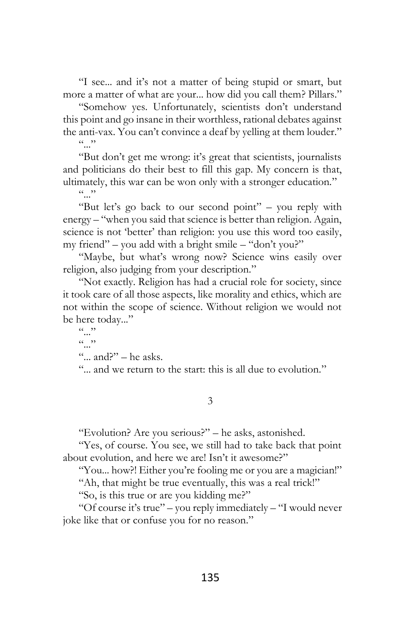"I see... and it's not a matter of being stupid or smart, but more a matter of what are your... how did you call them? Pillars."

"Somehow yes. Unfortunately, scientists don't understand this point and go insane in their worthless, rational debates against the anti-vax. You can't convince a deaf by yelling at them louder."  $(0, 0)$ 

"But don't get me wrong: it's great that scientists, journalists and politicians do their best to fill this gap. My concern is that, ultimately, this war can be won only with a stronger education."

 $(0, 0)$ 

"But let's go back to our second point" – you reply with energy – "when you said that science is better than religion. Again, science is not 'better' than religion: you use this word too easily, my friend" – you add with a bright smile – "don't you?"

"Maybe, but what's wrong now? Science wins easily over religion, also judging from your description."

"Not exactly. Religion has had a crucial role for society, since it took care of all those aspects, like morality and ethics, which are not within the scope of science. Without religion we would not be here today..."

 $(0, 0)$  $(0, 0)$ 

" $...$  and?" – he asks.

"... and we return to the start: this is all due to evolution."

## 3

"Evolution? Are you serious?" – he asks, astonished.

"Yes, of course. You see, we still had to take back that point about evolution, and here we are! Isn't it awesome?"

"You... how?! Either you're fooling me or you are a magician!"

"Ah, that might be true eventually, this was a real trick!"

"So, is this true or are you kidding me?"

"Of course it's true" – you reply immediately – "I would never joke like that or confuse you for no reason."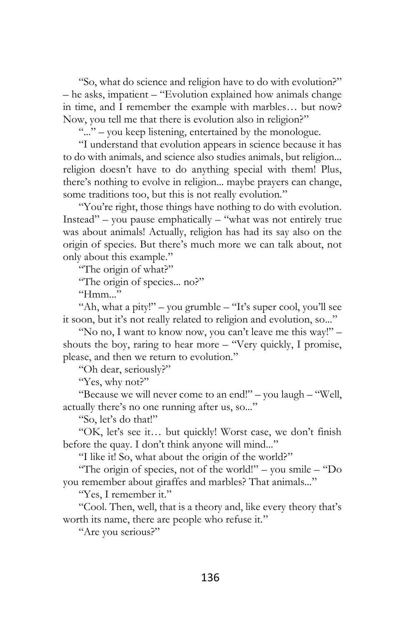"So, what do science and religion have to do with evolution?" – he asks, impatient – "Evolution explained how animals change in time, and I remember the example with marbles… but now? Now, you tell me that there is evolution also in religion?"

"..." – you keep listening, entertained by the monologue.

"I understand that evolution appears in science because it has to do with animals, and science also studies animals, but religion... religion doesn't have to do anything special with them! Plus, there's nothing to evolve in religion... maybe prayers can change, some traditions too, but this is not really evolution."

"You're right, those things have nothing to do with evolution. Instead" – you pause emphatically – "what was not entirely true was about animals! Actually, religion has had its say also on the origin of species. But there's much more we can talk about, not only about this example."

"The origin of what?"

"The origin of species... no?"

 $"Hmm..."$ 

"Ah, what a pity!" – you grumble – "It's super cool, you'll see it soon, but it's not really related to religion and evolution, so..."

"No no, I want to know now, you can't leave me this way!" – shouts the boy, raring to hear more – "Very quickly, I promise, please, and then we return to evolution."

"Oh dear, seriously?"

"Yes, why not?"

"Because we will never come to an end!" – you laugh – "Well, actually there's no one running after us, so..."

"So, let's do that!"

"OK, let's see it… but quickly! Worst case, we don't finish before the quay. I don't think anyone will mind..."

"I like it! So, what about the origin of the world?"

"The origin of species, not of the world!" – you smile – "Do you remember about giraffes and marbles? That animals..."

"Yes, I remember it."

"Cool. Then, well, that is a theory and, like every theory that's worth its name, there are people who refuse it."

"Are you serious?"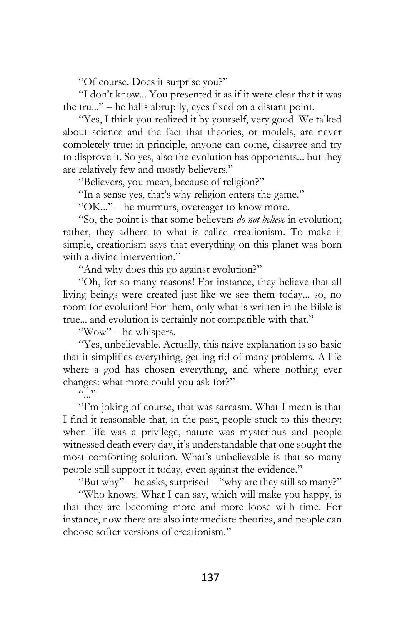"Of course. Does it surprise you?"

"I don't know... You presented it as if it were clear that it was the tru..." – he halts abruptly, eyes fixed on a distant point.

"Yes, I think you realized it by yourself, very good. We talked about science and the fact that theories, or models, are never completely true: in principle, anyone can come, disagree and try to disprove it. So yes, also the evolution has opponents... but they are relatively few and mostly believers."

"Believers, you mean, because of religion?"

"In a sense yes, that's why religion enters the game."

"OK..." – he murmurs, overeager to know more.

"So, the point is that some believers *do not believe* in evolution; rather, they adhere to what is called creationism. To make it simple, creationism says that everything on this planet was born with a divine intervention."

"And why does this go against evolution?"

"Oh, for so many reasons! For instance, they believe that all living beings were created just like we see them today... so, no room for evolution! For them, only what is written in the Bible is true... and evolution is certainly not compatible with that."

"Wow" – he whispers.

"Yes, unbelievable. Actually, this naive explanation is so basic that it simplifies everything, getting rid of many problems. A life where a god has chosen everything, and where nothing ever changes: what more could you ask for?"

 $\begin{array}{c} \overline{\phantom{0}} \\ \overline{\phantom{0}} \end{array}$ 

"I'm joking of course, that was sarcasm. What I mean is that I find it reasonable that, in the past, people stuck to this theory: when life was a privilege, nature was mysterious and people witnessed death every day, it's understandable that one sought the most comforting solution. What's unbelievable is that so many people still support it today, even against the evidence."

"But why" – he asks, surprised – "why are they still so many?"

"Who knows. What I can say, which will make you happy, is that they are becoming more and more loose with time. For instance, now there are also intermediate theories, and people can choose softer versions of creationism."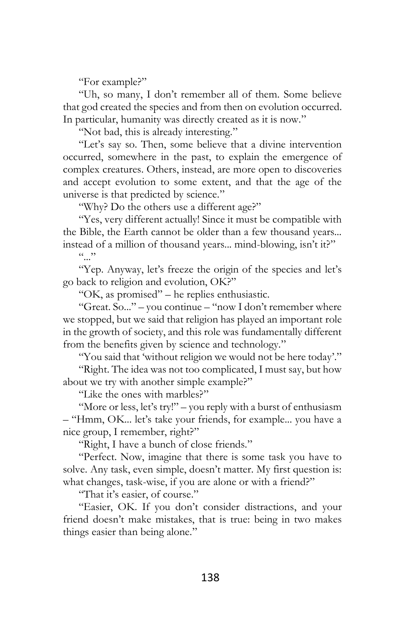"For example?"

"Uh, so many, I don't remember all of them. Some believe that god created the species and from then on evolution occurred. In particular, humanity was directly created as it is now."

"Not bad, this is already interesting."

"Let's say so. Then, some believe that a divine intervention occurred, somewhere in the past, to explain the emergence of complex creatures. Others, instead, are more open to discoveries and accept evolution to some extent, and that the age of the universe is that predicted by science."

"Why? Do the others use a different age?"

"Yes, very different actually! Since it must be compatible with the Bible, the Earth cannot be older than a few thousand years... instead of a million of thousand years... mind-blowing, isn't it?"

 $(0, 0)$ 

"Yep. Anyway, let's freeze the origin of the species and let's go back to religion and evolution, OK?"

"OK, as promised" – he replies enthusiastic.

"Great. So..." – you continue – "now I don't remember where we stopped, but we said that religion has played an important role in the growth of society, and this role was fundamentally different from the benefits given by science and technology."

"You said that 'without religion we would not be here today'."

"Right. The idea was not too complicated, I must say, but how about we try with another simple example?"

"Like the ones with marbles?"

"More or less, let's try!" – you reply with a burst of enthusiasm – "Hmm, OK... let's take your friends, for example... you have a nice group, I remember, right?"

"Right, I have a bunch of close friends."

"Perfect. Now, imagine that there is some task you have to solve. Any task, even simple, doesn't matter. My first question is: what changes, task-wise, if you are alone or with a friend?"

"That it's easier, of course."

"Easier, OK. If you don't consider distractions, and your friend doesn't make mistakes, that is true: being in two makes things easier than being alone."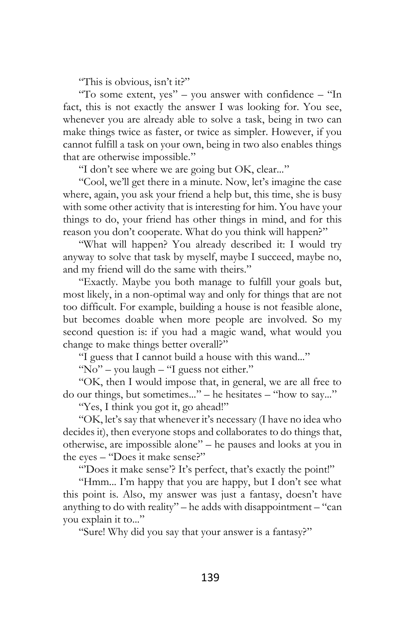"This is obvious, isn't it?"

"To some extent, yes" – you answer with confidence – "In fact, this is not exactly the answer I was looking for. You see, whenever you are already able to solve a task, being in two can make things twice as faster, or twice as simpler. However, if you cannot fulfill a task on your own, being in two also enables things that are otherwise impossible."

"I don't see where we are going but OK, clear..."

"Cool, we'll get there in a minute. Now, let's imagine the case where, again, you ask your friend a help but, this time, she is busy with some other activity that is interesting for him. You have your things to do, your friend has other things in mind, and for this reason you don't cooperate. What do you think will happen?"

"What will happen? You already described it: I would try anyway to solve that task by myself, maybe I succeed, maybe no, and my friend will do the same with theirs."

"Exactly. Maybe you both manage to fulfill your goals but, most likely, in a non-optimal way and only for things that are not too difficult. For example, building a house is not feasible alone, but becomes doable when more people are involved. So my second question is: if you had a magic wand, what would you change to make things better overall?"

"I guess that I cannot build a house with this wand..."

"No" – you laugh – "I guess not either."

"OK, then I would impose that, in general, we are all free to do our things, but sometimes..." – he hesitates – "how to say..."

"Yes, I think you got it, go ahead!"

"OK, let's say that whenever it's necessary (I have no idea who decides it), then everyone stops and collaborates to do things that, otherwise, are impossible alone" – he pauses and looks at you in the eyes – "Does it make sense?"

"Does it make sense'? It's perfect, that's exactly the point!"

"Hmm... I'm happy that you are happy, but I don't see what this point is. Also, my answer was just a fantasy, doesn't have anything to do with reality" – he adds with disappointment – "can you explain it to..."

"Sure! Why did you say that your answer is a fantasy?"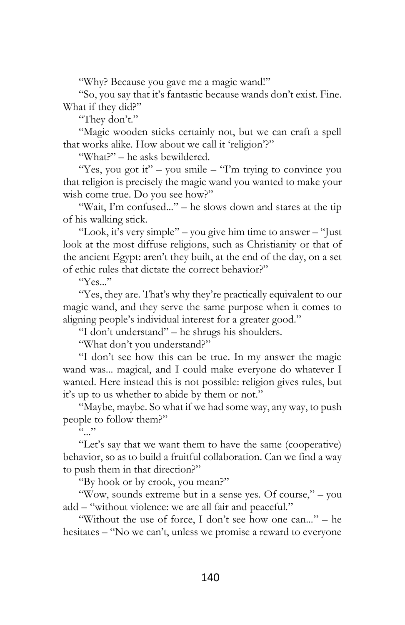"Why? Because you gave me a magic wand!"

"So, you say that it's fantastic because wands don't exist. Fine. What if they did?"

"They don't."

"Magic wooden sticks certainly not, but we can craft a spell that works alike. How about we call it 'religion'?"

"What?" – he asks bewildered.

"Yes, you got it" – you smile – "I'm trying to convince you that religion is precisely the magic wand you wanted to make your wish come true. Do you see how?"

"Wait, I'm confused..." – he slows down and stares at the tip of his walking stick.

"Look, it's very simple" – you give him time to answer – "Just look at the most diffuse religions, such as Christianity or that of the ancient Egypt: aren't they built, at the end of the day, on a set of ethic rules that dictate the correct behavior?"

 $T_{\rm PS}$  "

"Yes, they are. That's why they're practically equivalent to our magic wand, and they serve the same purpose when it comes to aligning people's individual interest for a greater good."

"I don't understand" – he shrugs his shoulders.

"What don't you understand?"

"I don't see how this can be true. In my answer the magic wand was... magical, and I could make everyone do whatever I wanted. Here instead this is not possible: religion gives rules, but it's up to us whether to abide by them or not."

"Maybe, maybe. So what if we had some way, any way, to push people to follow them?"

 $\overline{\phantom{a}}\phantom{a} \cdots$ 

"Let's say that we want them to have the same (cooperative) behavior, so as to build a fruitful collaboration. Can we find a way to push them in that direction?"

"By hook or by crook, you mean?"

"Wow, sounds extreme but in a sense yes. Of course," – you add – "without violence: we are all fair and peaceful."

"Without the use of force, I don't see how one can..." – he hesitates – "No we can't, unless we promise a reward to everyone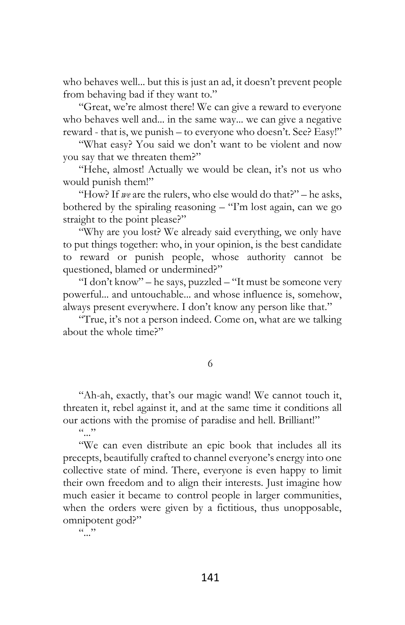who behaves well... but this is just an ad, it doesn't prevent people from behaving bad if they want to."

"Great, we're almost there! We can give a reward to everyone who behaves well and... in the same way... we can give a negative reward - that is, we punish – to everyone who doesn't. See? Easy!"

"What easy? You said we don't want to be violent and now you say that we threaten them?"

"Hehe, almost! Actually we would be clean, it's not us who would punish them!"

"How? If *we* are the rulers, who else would do that?" – he asks, bothered by the spiraling reasoning – "I'm lost again, can we go straight to the point please?"

"Why are you lost? We already said everything, we only have to put things together: who, in your opinion, is the best candidate to reward or punish people, whose authority cannot be questioned, blamed or undermined?"

"I don't know" – he says, puzzled – "It must be someone very powerful... and untouchable... and whose influence is, somehow, always present everywhere. I don't know any person like that."

"True, it's not a person indeed. Come on, what are we talking about the whole time?"

## 6

"Ah-ah, exactly, that's our magic wand! We cannot touch it, threaten it, rebel against it, and at the same time it conditions all our actions with the promise of paradise and hell. Brilliant!"

 $\cdots$ "

"We can even distribute an epic book that includes all its precepts, beautifully crafted to channel everyone's energy into one collective state of mind. There, everyone is even happy to limit their own freedom and to align their interests. Just imagine how much easier it became to control people in larger communities, when the orders were given by a fictitious, thus unopposable, omnipotent god?"

 $\sum_{i=1}^{n}$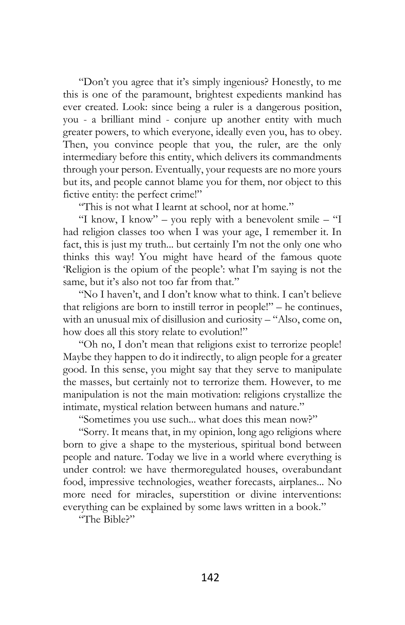"Don't you agree that it's simply ingenious? Honestly, to me this is one of the paramount, brightest expedients mankind has ever created. Look: since being a ruler is a dangerous position, you - a brilliant mind - conjure up another entity with much greater powers, to which everyone, ideally even you, has to obey. Then, you convince people that you, the ruler, are the only intermediary before this entity, which delivers its commandments through your person. Eventually, your requests are no more yours but its, and people cannot blame you for them, nor object to this fictive entity: the perfect crime!"

"This is not what I learnt at school, nor at home."

"I know, I know" – you reply with a benevolent smile – "I had religion classes too when I was your age, I remember it. In fact, this is just my truth... but certainly I'm not the only one who thinks this way! You might have heard of the famous quote 'Religion is the opium of the people': what I'm saying is not the same, but it's also not too far from that."

"No I haven't, and I don't know what to think. I can't believe that religions are born to instill terror in people!" – he continues, with an unusual mix of disillusion and curiosity – "Also, come on, how does all this story relate to evolution!"

"Oh no, I don't mean that religions exist to terrorize people! Maybe they happen to do it indirectly, to align people for a greater good. In this sense, you might say that they serve to manipulate the masses, but certainly not to terrorize them. However, to me manipulation is not the main motivation: religions crystallize the intimate, mystical relation between humans and nature."

"Sometimes you use such... what does this mean now?"

"Sorry. It means that, in my opinion, long ago religions where born to give a shape to the mysterious, spiritual bond between people and nature. Today we live in a world where everything is under control: we have thermoregulated houses, overabundant food, impressive technologies, weather forecasts, airplanes... No more need for miracles, superstition or divine interventions: everything can be explained by some laws written in a book."

"The Bible?"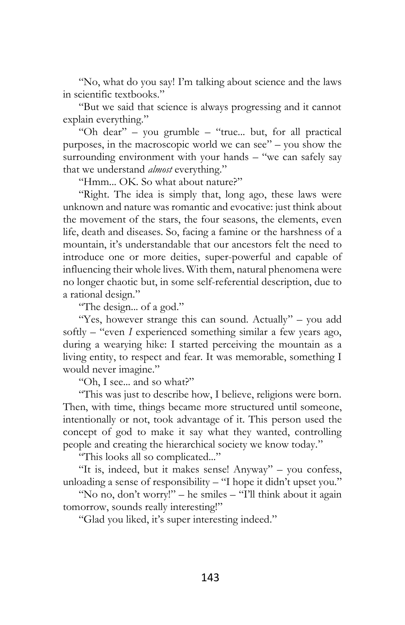"No, what do you say! I'm talking about science and the laws in scientific textbooks."

"But we said that science is always progressing and it cannot explain everything."

"Oh dear" – you grumble – "true... but, for all practical purposes, in the macroscopic world we can see" – you show the surrounding environment with your hands – "we can safely say that we understand *almost* everything."

"Hmm... OK. So what about nature?"

"Right. The idea is simply that, long ago, these laws were unknown and nature was romantic and evocative: just think about the movement of the stars, the four seasons, the elements, even life, death and diseases. So, facing a famine or the harshness of a mountain, it's understandable that our ancestors felt the need to introduce one or more deities, super-powerful and capable of influencing their whole lives. With them, natural phenomena were no longer chaotic but, in some self-referential description, due to a rational design."

"The design... of a god."

"Yes, however strange this can sound. Actually" – you add softly – "even *I* experienced something similar a few years ago, during a wearying hike: I started perceiving the mountain as a living entity, to respect and fear. It was memorable, something I would never imagine."

"Oh, I see... and so what?"

"This was just to describe how, I believe, religions were born. Then, with time, things became more structured until someone, intentionally or not, took advantage of it. This person used the concept of god to make it say what they wanted, controlling people and creating the hierarchical society we know today."

"This looks all so complicated..."

"It is, indeed, but it makes sense! Anyway" – you confess, unloading a sense of responsibility – "I hope it didn't upset you."

"No no, don't worry!" – he smiles – "I'll think about it again tomorrow, sounds really interesting!"

"Glad you liked, it's super interesting indeed."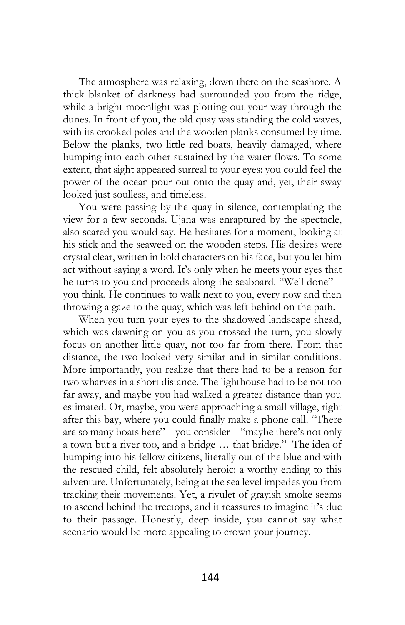The atmosphere was relaxing, down there on the seashore. A thick blanket of darkness had surrounded you from the ridge, while a bright moonlight was plotting out your way through the dunes. In front of you, the old quay was standing the cold waves, with its crooked poles and the wooden planks consumed by time. Below the planks, two little red boats, heavily damaged, where bumping into each other sustained by the water flows. To some extent, that sight appeared surreal to your eyes: you could feel the power of the ocean pour out onto the quay and, yet, their sway looked just soulless, and timeless.

You were passing by the quay in silence, contemplating the view for a few seconds. Ujana was enraptured by the spectacle, also scared you would say. He hesitates for a moment, looking at his stick and the seaweed on the wooden steps. His desires were crystal clear, written in bold characters on his face, but you let him act without saying a word. It's only when he meets your eyes that he turns to you and proceeds along the seaboard. "Well done" – you think. He continues to walk next to you, every now and then throwing a gaze to the quay, which was left behind on the path.

When you turn your eyes to the shadowed landscape ahead, which was dawning on you as you crossed the turn, you slowly focus on another little quay, not too far from there. From that distance, the two looked very similar and in similar conditions. More importantly, you realize that there had to be a reason for two wharves in a short distance. The lighthouse had to be not too far away, and maybe you had walked a greater distance than you estimated. Or, maybe, you were approaching a small village, right after this bay, where you could finally make a phone call. "There are so many boats here" – you consider – "maybe there's not only a town but a river too, and a bridge … that bridge." The idea of bumping into his fellow citizens, literally out of the blue and with the rescued child, felt absolutely heroic: a worthy ending to this adventure. Unfortunately, being at the sea level impedes you from tracking their movements. Yet, a rivulet of grayish smoke seems to ascend behind the treetops, and it reassures to imagine it's due to their passage. Honestly, deep inside, you cannot say what scenario would be more appealing to crown your journey.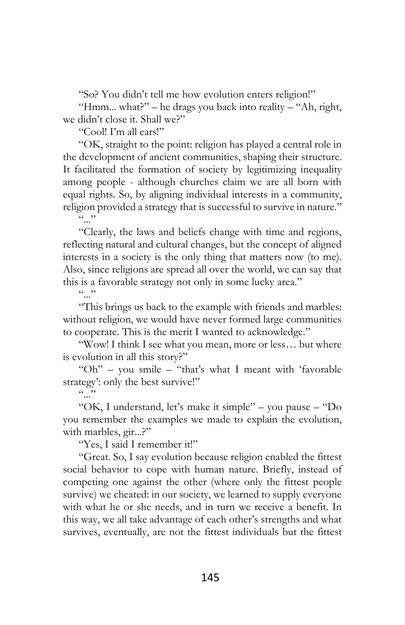"So? You didn't tell me how evolution enters religion!"

"Hmm... what?" – he drags you back into reality – "Ah, right, we didn't close it. Shall we?"

"Cool! I'm all ears!"

"OK, straight to the point: religion has played a central role in the development of ancient communities, shaping their structure. It facilitated the formation of society by legitimizing inequality among people - although churches claim we are all born with equal rights. So, by aligning individual interests in a community, religion provided a strategy that is successful to survive in nature." ... ,,

"Clearly, the laws and beliefs change with time and regions, reflecting natural and cultural changes, but the concept of aligned interests in a society is the only thing that matters now (to me). Also, since religions are spread all over the world, we can say that this is a favorable strategy not only in some lucky area."

 $(0, 0)$ 

"This brings us back to the example with friends and marbles: without religion, we would have never formed large communities to cooperate. This is the merit I wanted to acknowledge."

"Wow! I think I see what you mean, more or less… but where is evolution in all this story?"

"Oh" – you smile – "that's what I meant with 'favorable strategy': only the best survive!"

 $\ldots$  ".

"OK, I understand, let's make it simple" – you pause – "Do you remember the examples we made to explain the evolution, with marbles, gir...?"

"Yes, I said I remember it!"

"Great. So, I say evolution because religion enabled the fittest social behavior to cope with human nature. Briefly, instead of competing one against the other (where only the fittest people survive) we cheated: in our society, we learned to supply everyone with what he or she needs, and in turn we receive a benefit. In this way, we all take advantage of each other's strengths and what survives, eventually, are not the fittest individuals but the fittest